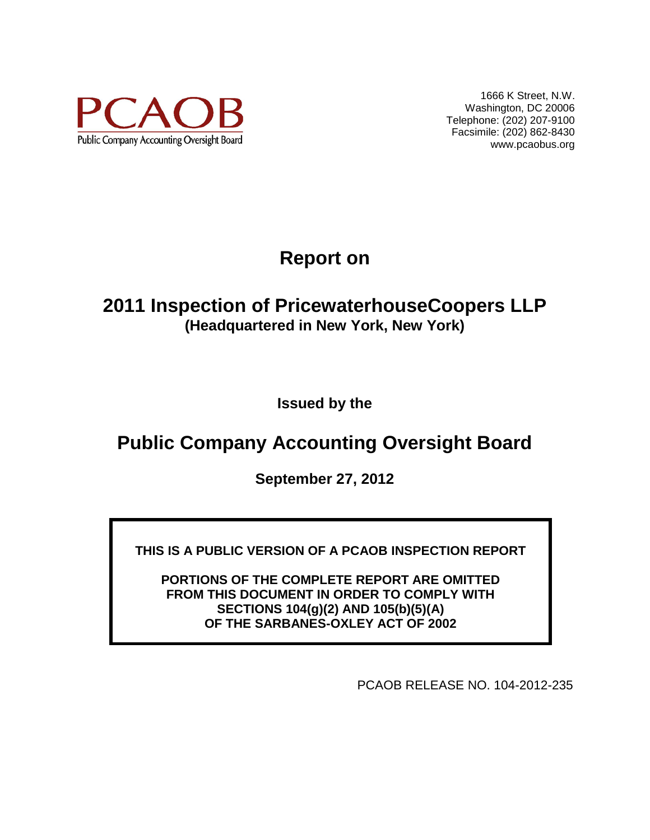

1666 K Street, N.W. Washington, DC 20006 Telephone: (202) 207-9100 Facsimile: (202) 862-8430 www.pcaobus.org

# **Report on**

## **2011 Inspection of PricewaterhouseCoopers LLP (Headquartered in New York, New York)**

**Issued by the** 

## **Public Company Accounting Oversight Board**

**September 27, 2012**

**THIS IS A PUBLIC VERSION OF A PCAOB INSPECTION REPORT**

**PORTIONS OF THE COMPLETE REPORT ARE OMITTED FROM THIS DOCUMENT IN ORDER TO COMPLY WITH SECTIONS 104(g)(2) AND 105(b)(5)(A) OF THE SARBANES-OXLEY ACT OF 2002**

PCAOB RELEASE NO. 104-2012-235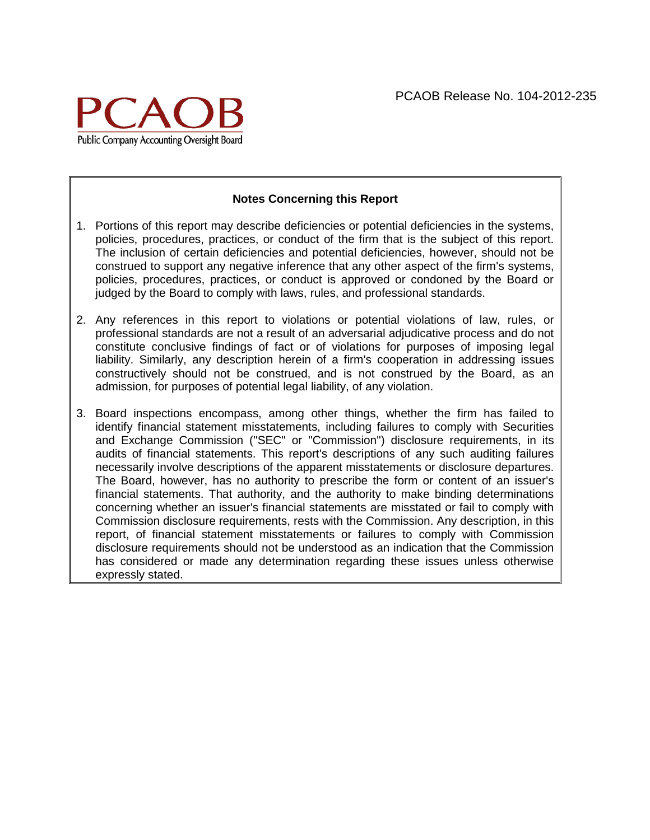

#### **Notes Concerning this Report**

- 1. Portions of this report may describe deficiencies or potential deficiencies in the systems, policies, procedures, practices, or conduct of the firm that is the subject of this report. The inclusion of certain deficiencies and potential deficiencies, however, should not be construed to support any negative inference that any other aspect of the firm's systems, policies, procedures, practices, or conduct is approved or condoned by the Board or judged by the Board to comply with laws, rules, and professional standards.
- 2. Any references in this report to violations or potential violations of law, rules, or professional standards are not a result of an adversarial adjudicative process and do not constitute conclusive findings of fact or of violations for purposes of imposing legal liability. Similarly, any description herein of a firm's cooperation in addressing issues constructively should not be construed, and is not construed by the Board, as an admission, for purposes of potential legal liability, of any violation.
- 3. Board inspections encompass, among other things, whether the firm has failed to identify financial statement misstatements, including failures to comply with Securities and Exchange Commission ("SEC" or "Commission") disclosure requirements, in its audits of financial statements. This report's descriptions of any such auditing failures necessarily involve descriptions of the apparent misstatements or disclosure departures. The Board, however, has no authority to prescribe the form or content of an issuer's financial statements. That authority, and the authority to make binding determinations concerning whether an issuer's financial statements are misstated or fail to comply with Commission disclosure requirements, rests with the Commission. Any description, in this report, of financial statement misstatements or failures to comply with Commission disclosure requirements should not be understood as an indication that the Commission has considered or made any determination regarding these issues unless otherwise expressly stated.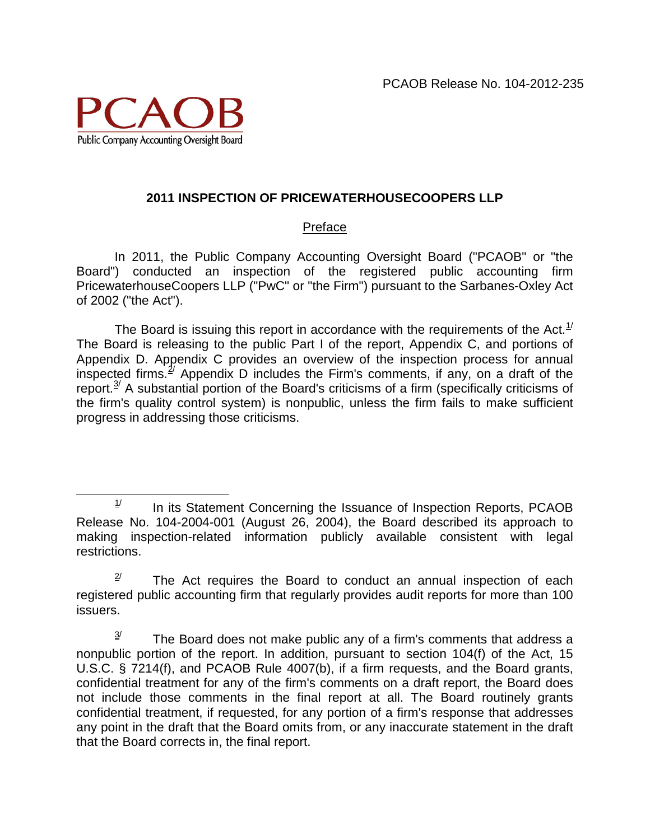

### **2011 INSPECTION OF PRICEWATERHOUSECOOPERS LLP**

### Preface

In 2011, the Public Company Accounting Oversight Board ("PCAOB" or "the Board") conducted an inspection of the registered public accounting firm PricewaterhouseCoopers LLP ("PwC" or "the Firm") pursuant to the Sarbanes-Oxley Act of 2002 ("the Act").

The Board is issuing this report in accordance with the requirements of the Act.<sup>[1/](#page-2-0)</sup> The Board is releasing to the public Part I of the report, Appendix C, and portions of Appendix D. Appendix C provides an overview of the inspection process for annual inspected firms.<sup>2</sup> Appendix D includes the Firm's comments, if any, on a draft of the report. $3/2$  $3/2$  A substantial portion of the Board's criticisms of a firm (specifically criticisms of the firm's quality control system) is nonpublic, unless the firm fails to make sufficient progress in addressing those criticisms.

<span id="page-2-0"></span> $1/$  In its Statement Concerning the Issuance of Inspection Reports, PCAOB Release No. 104-2004-001 (August 26, 2004), the Board described its approach to making inspection-related information publicly available consistent with legal restrictions.

<span id="page-2-1"></span> $2^{\prime}$  The Act requires the Board to conduct an annual inspection of each registered public accounting firm that regularly provides audit reports for more than 100 issuers.

<span id="page-2-2"></span> $3<sup>j</sup>$  The Board does not make public any of a firm's comments that address a nonpublic portion of the report. In addition, pursuant to section 104(f) of the Act, 15 U.S.C. § 7214(f), and PCAOB Rule 4007(b), if a firm requests, and the Board grants, confidential treatment for any of the firm's comments on a draft report, the Board does not include those comments in the final report at all. The Board routinely grants confidential treatment, if requested, for any portion of a firm's response that addresses any point in the draft that the Board omits from, or any inaccurate statement in the draft that the Board corrects in, the final report.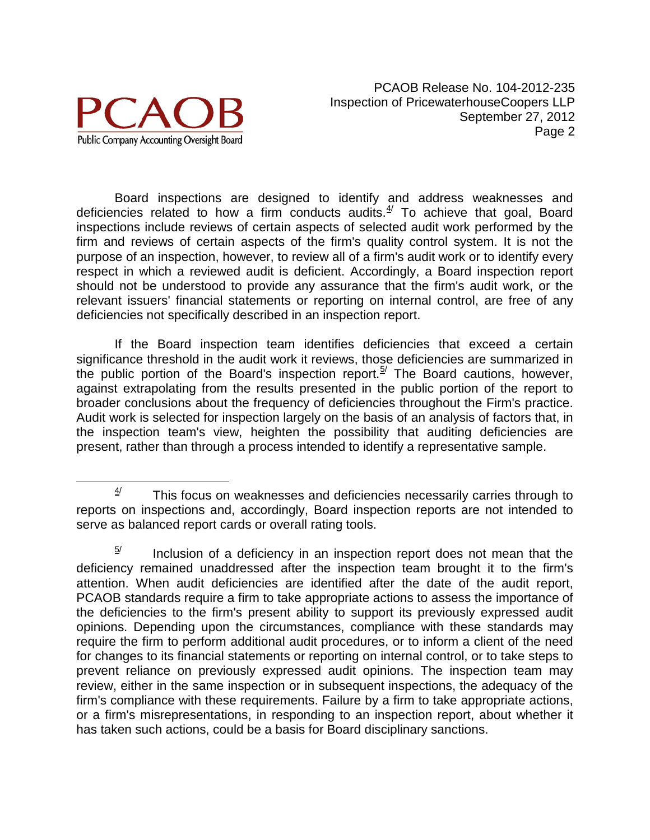

Board inspections are designed to identify and address weaknesses and deficiencies related to how a firm conducts audits. $4/$  To achieve that goal, Board inspections include reviews of certain aspects of selected audit work performed by the firm and reviews of certain aspects of the firm's quality control system. It is not the purpose of an inspection, however, to review all of a firm's audit work or to identify every respect in which a reviewed audit is deficient. Accordingly, a Board inspection report should not be understood to provide any assurance that the firm's audit work, or the relevant issuers' financial statements or reporting on internal control, are free of any deficiencies not specifically described in an inspection report.

If the Board inspection team identifies deficiencies that exceed a certain significance threshold in the audit work it reviews, those deficiencies are summarized in the public portion of the Board's inspection report.<sup>[5/](#page-3-1)</sup> The Board cautions, however, against extrapolating from the results presented in the public portion of the report to broader conclusions about the frequency of deficiencies throughout the Firm's practice. Audit work is selected for inspection largely on the basis of an analysis of factors that, in the inspection team's view, heighten the possibility that auditing deficiencies are present, rather than through a process intended to identify a representative sample.

<span id="page-3-0"></span> $4/$  This focus on weaknesses and deficiencies necessarily carries through to reports on inspections and, accordingly, Board inspection reports are not intended to serve as balanced report cards or overall rating tools.

<span id="page-3-1"></span> $5/$  Inclusion of a deficiency in an inspection report does not mean that the deficiency remained unaddressed after the inspection team brought it to the firm's attention. When audit deficiencies are identified after the date of the audit report, PCAOB standards require a firm to take appropriate actions to assess the importance of the deficiencies to the firm's present ability to support its previously expressed audit opinions. Depending upon the circumstances, compliance with these standards may require the firm to perform additional audit procedures, or to inform a client of the need for changes to its financial statements or reporting on internal control, or to take steps to prevent reliance on previously expressed audit opinions. The inspection team may review, either in the same inspection or in subsequent inspections, the adequacy of the firm's compliance with these requirements. Failure by a firm to take appropriate actions, or a firm's misrepresentations, in responding to an inspection report, about whether it has taken such actions, could be a basis for Board disciplinary sanctions.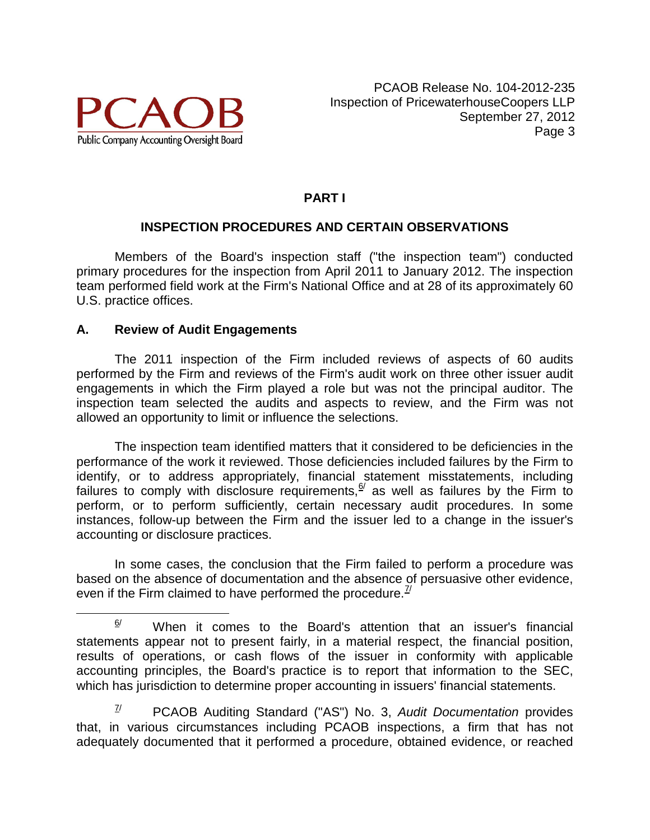

## **PART I**

## **INSPECTION PROCEDURES AND CERTAIN OBSERVATIONS**

Members of the Board's inspection staff ("the inspection team") conducted primary procedures for the inspection from April 2011 to January 2012. The inspection team performed field work at the Firm's National Office and at 28 of its approximately 60 U.S. practice offices.

### **A. Review of Audit Engagements**

The 2011 inspection of the Firm included reviews of aspects of 60 audits performed by the Firm and reviews of the Firm's audit work on three other issuer audit engagements in which the Firm played a role but was not the principal auditor. The inspection team selected the audits and aspects to review, and the Firm was not allowed an opportunity to limit or influence the selections.

The inspection team identified matters that it considered to be deficiencies in the performance of the work it reviewed. Those deficiencies included failures by the Firm to identify, or to address appropriately, financial statement misstatements, including failures to comply with disclosure requirements,  $\frac{6}{1}$  $\frac{6}{1}$  $\frac{6}{1}$  as well as failures by the Firm to perform, or to perform sufficiently, certain necessary audit procedures. In some instances, follow-up between the Firm and the issuer led to a change in the issuer's accounting or disclosure practices.

In some cases, the conclusion that the Firm failed to perform a procedure was based on the absence of documentation and the absence of persuasive other evidence, even if the Firm claimed to have performed the procedure.  $\frac{7}{1}$ 

<span id="page-4-1"></span>7/ PCAOB Auditing Standard ("AS") No. 3, *Audit Documentation* provides that, in various circumstances including PCAOB inspections, a firm that has not adequately documented that it performed a procedure, obtained evidence, or reached

<span id="page-4-0"></span> $\frac{6}{1}$  When it comes to the Board's attention that an issuer's financial statements appear not to present fairly, in a material respect, the financial position, results of operations, or cash flows of the issuer in conformity with applicable accounting principles, the Board's practice is to report that information to the SEC, which has jurisdiction to determine proper accounting in issuers' financial statements.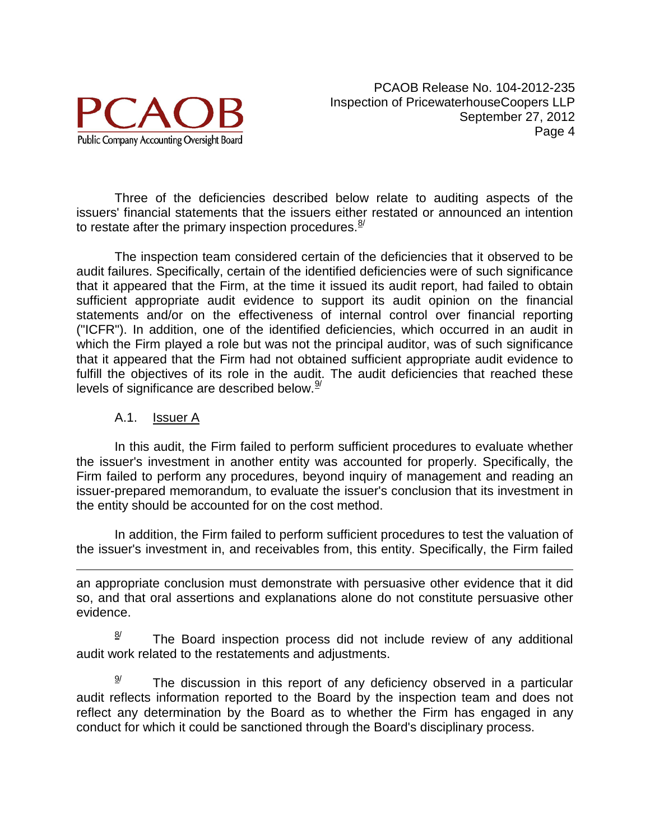

Three of the deficiencies described below relate to auditing aspects of the issuers' financial statements that the issuers either restated or announced an intention to restate after the primary inspection procedures. $\frac{8}{3}$ 

The inspection team considered certain of the deficiencies that it observed to be audit failures. Specifically, certain of the identified deficiencies were of such significance that it appeared that the Firm, at the time it issued its audit report, had failed to obtain sufficient appropriate audit evidence to support its audit opinion on the financial statements and/or on the effectiveness of internal control over financial reporting ("ICFR"). In addition, one of the identified deficiencies, which occurred in an audit in which the Firm played a role but was not the principal auditor, was of such significance that it appeared that the Firm had not obtained sufficient appropriate audit evidence to fulfill the objectives of its role in the audit. The audit deficiencies that reached these levels of significance are described below.  $\frac{9}{2}$  $\frac{9}{2}$  $\frac{9}{2}$ 

### A.1. Issuer A

In this audit, the Firm failed to perform sufficient procedures to evaluate whether the issuer's investment in another entity was accounted for properly. Specifically, the Firm failed to perform any procedures, beyond inquiry of management and reading an issuer-prepared memorandum, to evaluate the issuer's conclusion that its investment in the entity should be accounted for on the cost method.

In addition, the Firm failed to perform sufficient procedures to test the valuation of the issuer's investment in, and receivables from, this entity. Specifically, the Firm failed

 $\overline{a}$ an appropriate conclusion must demonstrate with persuasive other evidence that it did so, and that oral assertions and explanations alone do not constitute persuasive other evidence.

<span id="page-5-0"></span> $\frac{8}{1}$  The Board inspection process did not include review of any additional audit work related to the restatements and adjustments.

<span id="page-5-1"></span> $\frac{9}{2}$  The discussion in this report of any deficiency observed in a particular audit reflects information reported to the Board by the inspection team and does not reflect any determination by the Board as to whether the Firm has engaged in any conduct for which it could be sanctioned through the Board's disciplinary process.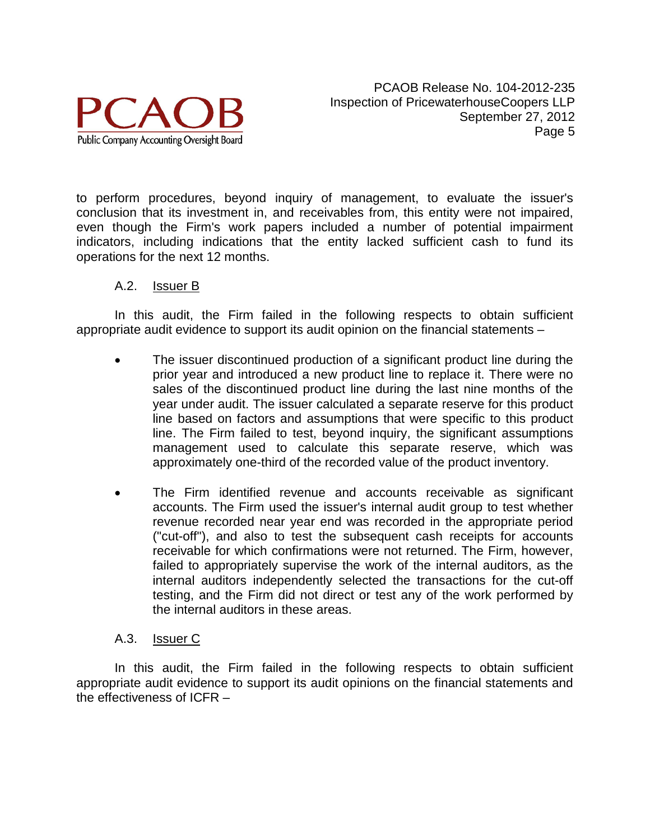

to perform procedures, beyond inquiry of management, to evaluate the issuer's conclusion that its investment in, and receivables from, this entity were not impaired, even though the Firm's work papers included a number of potential impairment indicators, including indications that the entity lacked sufficient cash to fund its operations for the next 12 months.

#### A.2. Issuer B

In this audit, the Firm failed in the following respects to obtain sufficient appropriate audit evidence to support its audit opinion on the financial statements –

- The issuer discontinued production of a significant product line during the prior year and introduced a new product line to replace it. There were no sales of the discontinued product line during the last nine months of the year under audit. The issuer calculated a separate reserve for this product line based on factors and assumptions that were specific to this product line. The Firm failed to test, beyond inquiry, the significant assumptions management used to calculate this separate reserve, which was approximately one-third of the recorded value of the product inventory.
- The Firm identified revenue and accounts receivable as significant accounts. The Firm used the issuer's internal audit group to test whether revenue recorded near year end was recorded in the appropriate period ("cut-off"), and also to test the subsequent cash receipts for accounts receivable for which confirmations were not returned. The Firm, however, failed to appropriately supervise the work of the internal auditors, as the internal auditors independently selected the transactions for the cut-off testing, and the Firm did not direct or test any of the work performed by the internal auditors in these areas.

#### A.3. Issuer C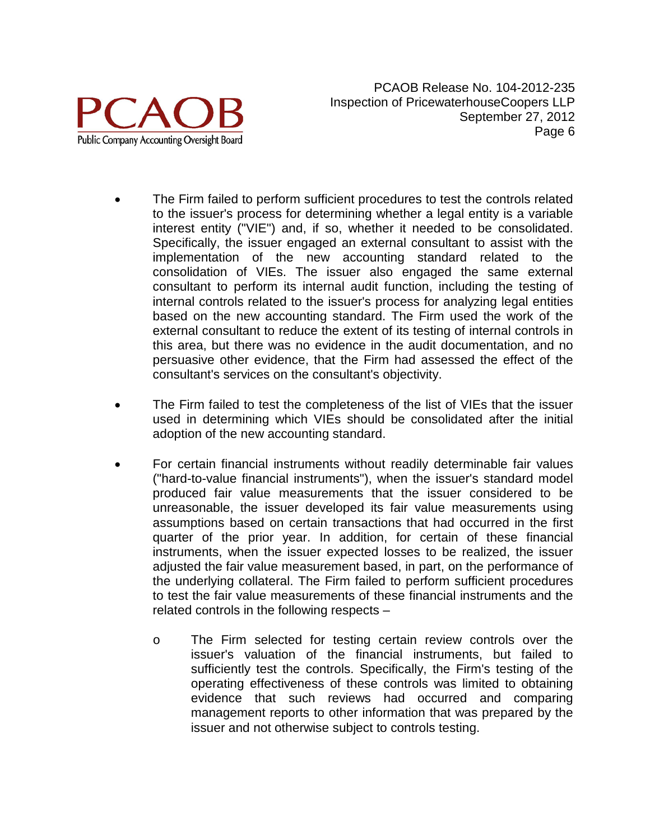

- The Firm failed to perform sufficient procedures to test the controls related to the issuer's process for determining whether a legal entity is a variable interest entity ("VIE") and, if so, whether it needed to be consolidated. Specifically, the issuer engaged an external consultant to assist with the implementation of the new accounting standard related to the consolidation of VIEs. The issuer also engaged the same external consultant to perform its internal audit function, including the testing of internal controls related to the issuer's process for analyzing legal entities based on the new accounting standard. The Firm used the work of the external consultant to reduce the extent of its testing of internal controls in this area, but there was no evidence in the audit documentation, and no persuasive other evidence, that the Firm had assessed the effect of the consultant's services on the consultant's objectivity.
- The Firm failed to test the completeness of the list of VIEs that the issuer used in determining which VIEs should be consolidated after the initial adoption of the new accounting standard.
- For certain financial instruments without readily determinable fair values ("hard-to-value financial instruments"), when the issuer's standard model produced fair value measurements that the issuer considered to be unreasonable, the issuer developed its fair value measurements using assumptions based on certain transactions that had occurred in the first quarter of the prior year. In addition, for certain of these financial instruments, when the issuer expected losses to be realized, the issuer adjusted the fair value measurement based, in part, on the performance of the underlying collateral. The Firm failed to perform sufficient procedures to test the fair value measurements of these financial instruments and the related controls in the following respects –
	- o The Firm selected for testing certain review controls over the issuer's valuation of the financial instruments, but failed to sufficiently test the controls. Specifically, the Firm's testing of the operating effectiveness of these controls was limited to obtaining evidence that such reviews had occurred and comparing management reports to other information that was prepared by the issuer and not otherwise subject to controls testing.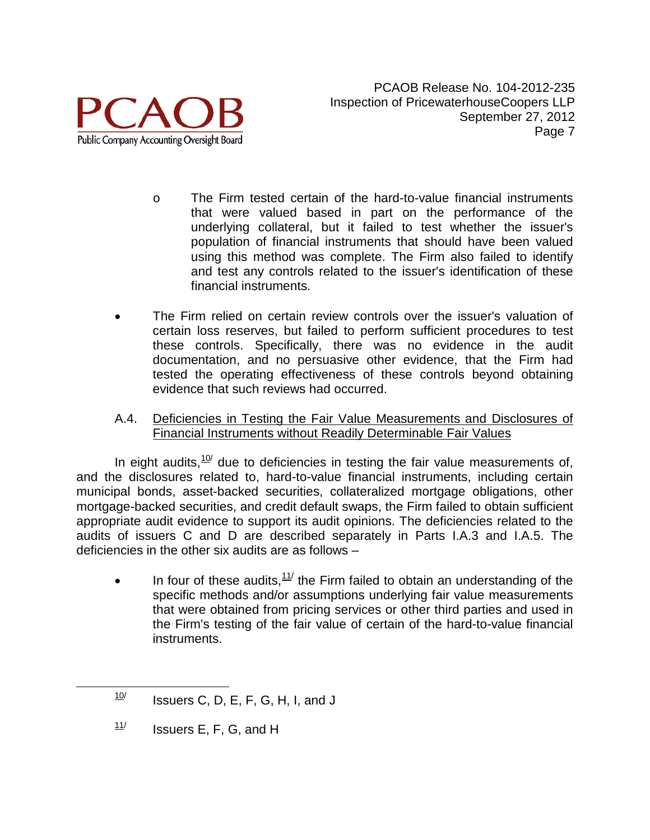

- o The Firm tested certain of the hard-to-value financial instruments that were valued based in part on the performance of the underlying collateral, but it failed to test whether the issuer's population of financial instruments that should have been valued using this method was complete. The Firm also failed to identify and test any controls related to the issuer's identification of these financial instruments.
- The Firm relied on certain review controls over the issuer's valuation of certain loss reserves, but failed to perform sufficient procedures to test these controls. Specifically, there was no evidence in the audit documentation, and no persuasive other evidence, that the Firm had tested the operating effectiveness of these controls beyond obtaining evidence that such reviews had occurred.
- A.4. Deficiencies in Testing the Fair Value Measurements and Disclosures of Financial Instruments without Readily Determinable Fair Values

In eight audits, $\frac{10}{10}$  $\frac{10}{10}$  $\frac{10}{10}$  due to deficiencies in testing the fair value measurements of, and the disclosures related to, hard-to-value financial instruments, including certain municipal bonds, asset-backed securities, collateralized mortgage obligations, other mortgage-backed securities, and credit default swaps, the Firm failed to obtain sufficient appropriate audit evidence to support its audit opinions. The deficiencies related to the audits of issuers C and D are described separately in Parts I.A.3 and I.A.5. The deficiencies in the other six audits are as follows –

In four of these audits,  $11/$  $11/$  the Firm failed to obtain an understanding of the specific methods and/or assumptions underlying fair value measurements that were obtained from pricing services or other third parties and used in the Firm's testing of the fair value of certain of the hard-to-value financial instruments.

<span id="page-8-1"></span> $11/$  Issuers E, F, G, and H

<span id="page-8-0"></span> $10$  Issuers C, D, E, F, G, H, I, and J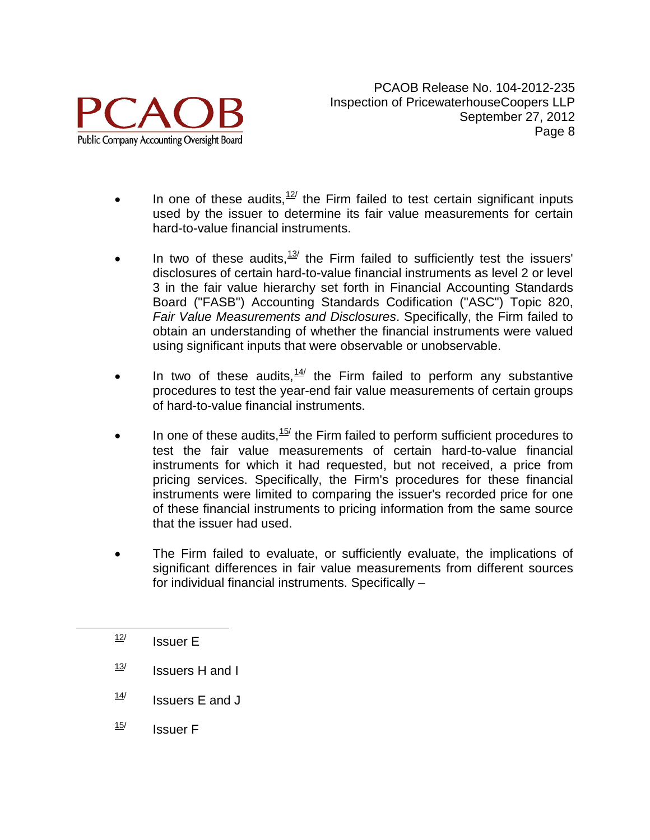

- In one of these audits,  $12$ <sup>/</sup> the Firm failed to test certain significant inputs used by the issuer to determine its fair value measurements for certain hard-to-value financial instruments.
- In two of these audits,  $13$ <sup>/</sup> the Firm failed to sufficiently test the issuers' disclosures of certain hard-to-value financial instruments as level 2 or level 3 in the fair value hierarchy set forth in Financial Accounting Standards Board ("FASB") Accounting Standards Codification ("ASC") Topic 820, *Fair Value Measurements and Disclosures*. Specifically, the Firm failed to obtain an understanding of whether the financial instruments were valued using significant inputs that were observable or unobservable.
- In two of these audits,  $14/$  the Firm failed to perform any substantive procedures to test the year-end fair value measurements of certain groups of hard-to-value financial instruments.
- In one of these audits,  $15$  the Firm failed to perform sufficient procedures to test the fair value measurements of certain hard-to-value financial instruments for which it had requested, but not received, a price from pricing services. Specifically, the Firm's procedures for these financial instruments were limited to comparing the issuer's recorded price for one of these financial instruments to pricing information from the same source that the issuer had used.
- The Firm failed to evaluate, or sufficiently evaluate, the implications of significant differences in fair value measurements from different sources for individual financial instruments. Specifically –

<span id="page-9-0"></span> $\frac{12}{12}$  Issuer E

- <span id="page-9-1"></span> $\frac{13}{1}$  Issuers H and I
- <span id="page-9-2"></span> $\frac{14}{14}$  Issuers E and J
- <span id="page-9-3"></span> $\frac{15}{15}$  Issuer F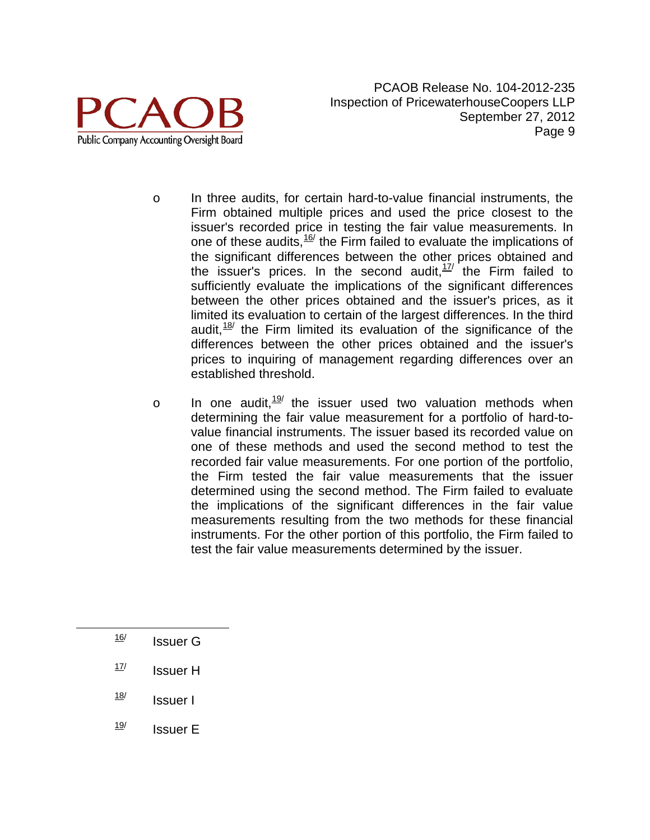

- o In three audits, for certain hard-to-value financial instruments, the Firm obtained multiple prices and used the price closest to the issuer's recorded price in testing the fair value measurements. In one of these audits,  $16$ <sup>t</sup> the Firm failed to evaluate the implications of the significant differences between the other prices obtained and the issuer's prices. In the second audit,  $17/1$  $17/1$  the Firm failed to sufficiently evaluate the implications of the significant differences between the other prices obtained and the issuer's prices, as it limited its evaluation to certain of the largest differences. In the third audit,  $18$ <sup>/</sup> the Firm limited its evaluation of the significance of the differences between the other prices obtained and the issuer's prices to inquiring of management regarding differences over an established threshold.
- $\circ$  In one audit,  $\frac{19}{2}$  $\frac{19}{2}$  $\frac{19}{2}$  the issuer used two valuation methods when determining the fair value measurement for a portfolio of hard-tovalue financial instruments. The issuer based its recorded value on one of these methods and used the second method to test the recorded fair value measurements. For one portion of the portfolio, the Firm tested the fair value measurements that the issuer determined using the second method. The Firm failed to evaluate the implications of the significant differences in the fair value measurements resulting from the two methods for these financial instruments. For the other portion of this portfolio, the Firm failed to test the fair value measurements determined by the issuer.
- <span id="page-10-0"></span> $\frac{16}{ }$  Issuer G
- <span id="page-10-1"></span> $17$  Issuer H
- <span id="page-10-2"></span> $\frac{18}{18}$  Issuer I
- <span id="page-10-3"></span> $\frac{19}{12}$  Issuer E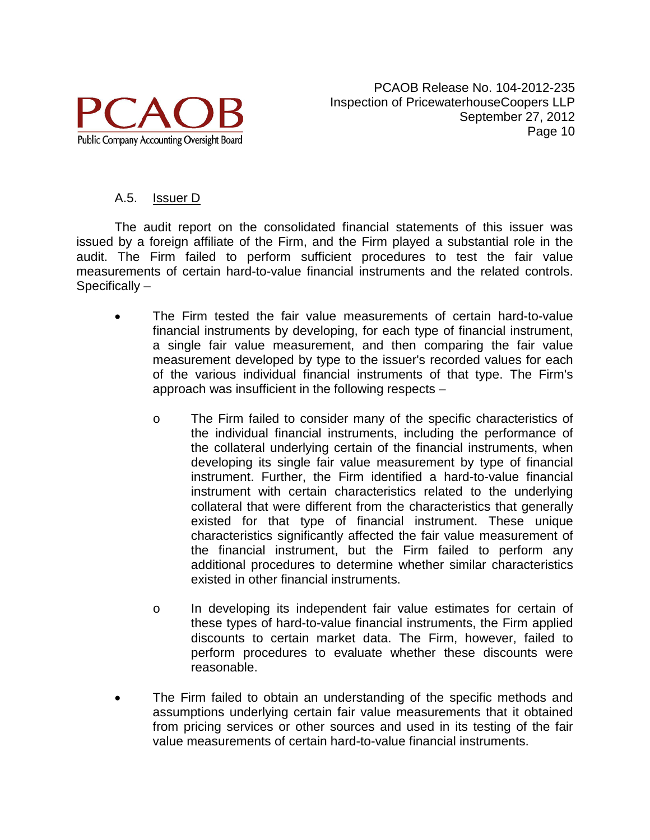

### A.5. Issuer D

The audit report on the consolidated financial statements of this issuer was issued by a foreign affiliate of the Firm, and the Firm played a substantial role in the audit. The Firm failed to perform sufficient procedures to test the fair value measurements of certain hard-to-value financial instruments and the related controls. Specifically –

- The Firm tested the fair value measurements of certain hard-to-value financial instruments by developing, for each type of financial instrument, a single fair value measurement, and then comparing the fair value measurement developed by type to the issuer's recorded values for each of the various individual financial instruments of that type. The Firm's approach was insufficient in the following respects –
	- o The Firm failed to consider many of the specific characteristics of the individual financial instruments, including the performance of the collateral underlying certain of the financial instruments, when developing its single fair value measurement by type of financial instrument. Further, the Firm identified a hard-to-value financial instrument with certain characteristics related to the underlying collateral that were different from the characteristics that generally existed for that type of financial instrument. These unique characteristics significantly affected the fair value measurement of the financial instrument, but the Firm failed to perform any additional procedures to determine whether similar characteristics existed in other financial instruments.
	- o In developing its independent fair value estimates for certain of these types of hard-to-value financial instruments, the Firm applied discounts to certain market data. The Firm, however, failed to perform procedures to evaluate whether these discounts were reasonable.
- The Firm failed to obtain an understanding of the specific methods and assumptions underlying certain fair value measurements that it obtained from pricing services or other sources and used in its testing of the fair value measurements of certain hard-to-value financial instruments.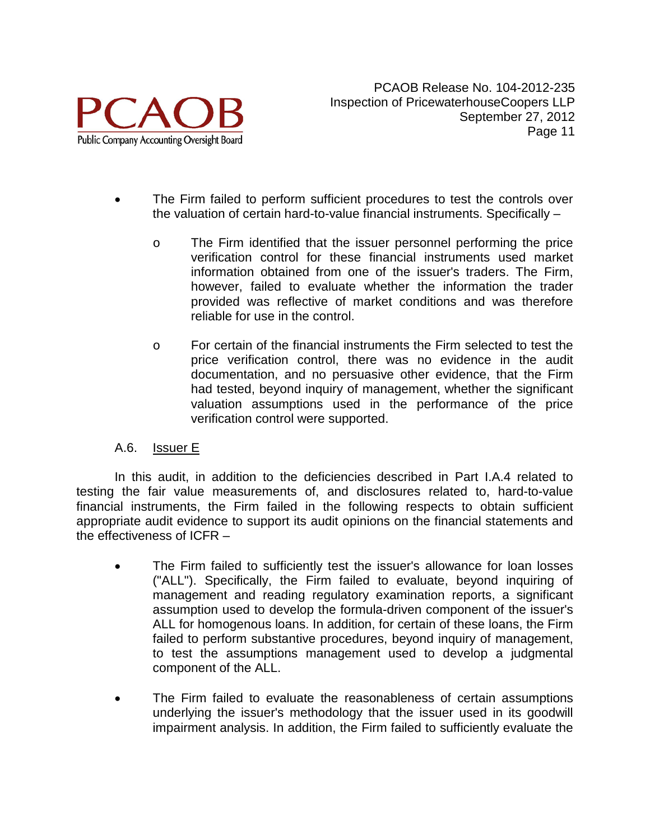

- The Firm failed to perform sufficient procedures to test the controls over the valuation of certain hard-to-value financial instruments. Specifically –
	- o The Firm identified that the issuer personnel performing the price verification control for these financial instruments used market information obtained from one of the issuer's traders. The Firm, however, failed to evaluate whether the information the trader provided was reflective of market conditions and was therefore reliable for use in the control.
	- o For certain of the financial instruments the Firm selected to test the price verification control, there was no evidence in the audit documentation, and no persuasive other evidence, that the Firm had tested, beyond inquiry of management, whether the significant valuation assumptions used in the performance of the price verification control were supported.

### A.6. Issuer E

In this audit, in addition to the deficiencies described in Part I.A.4 related to testing the fair value measurements of, and disclosures related to, hard-to-value financial instruments, the Firm failed in the following respects to obtain sufficient appropriate audit evidence to support its audit opinions on the financial statements and the effectiveness of ICFR –

- The Firm failed to sufficiently test the issuer's allowance for loan losses ("ALL"). Specifically, the Firm failed to evaluate, beyond inquiring of management and reading regulatory examination reports, a significant assumption used to develop the formula-driven component of the issuer's ALL for homogenous loans. In addition, for certain of these loans, the Firm failed to perform substantive procedures, beyond inquiry of management, to test the assumptions management used to develop a judgmental component of the ALL.
- The Firm failed to evaluate the reasonableness of certain assumptions underlying the issuer's methodology that the issuer used in its goodwill impairment analysis. In addition, the Firm failed to sufficiently evaluate the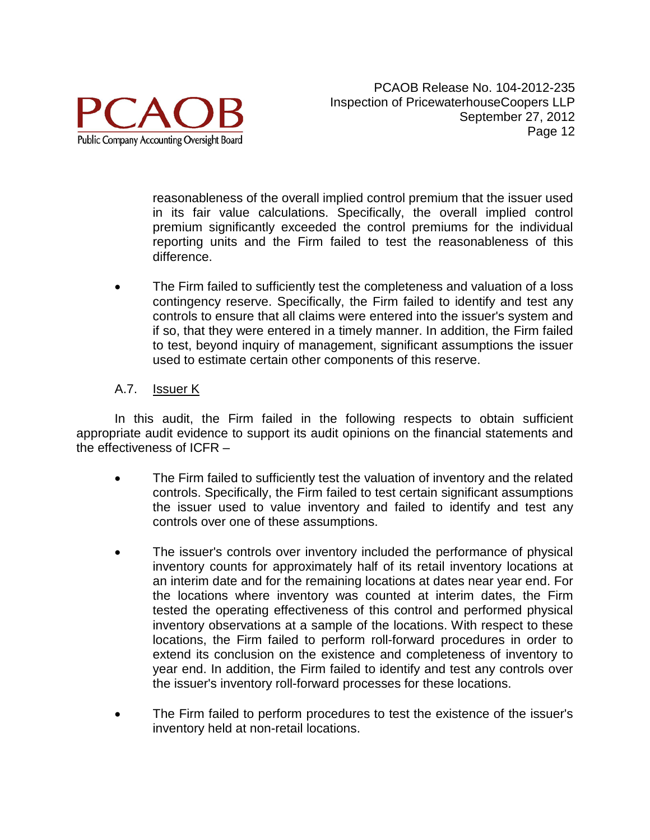

reasonableness of the overall implied control premium that the issuer used in its fair value calculations. Specifically, the overall implied control premium significantly exceeded the control premiums for the individual reporting units and the Firm failed to test the reasonableness of this difference.

• The Firm failed to sufficiently test the completeness and valuation of a loss contingency reserve. Specifically, the Firm failed to identify and test any controls to ensure that all claims were entered into the issuer's system and if so, that they were entered in a timely manner. In addition, the Firm failed to test, beyond inquiry of management, significant assumptions the issuer used to estimate certain other components of this reserve.

## A.7. **Issuer K**

- The Firm failed to sufficiently test the valuation of inventory and the related controls. Specifically, the Firm failed to test certain significant assumptions the issuer used to value inventory and failed to identify and test any controls over one of these assumptions.
- The issuer's controls over inventory included the performance of physical inventory counts for approximately half of its retail inventory locations at an interim date and for the remaining locations at dates near year end. For the locations where inventory was counted at interim dates, the Firm tested the operating effectiveness of this control and performed physical inventory observations at a sample of the locations. With respect to these locations, the Firm failed to perform roll-forward procedures in order to extend its conclusion on the existence and completeness of inventory to year end. In addition, the Firm failed to identify and test any controls over the issuer's inventory roll-forward processes for these locations.
- The Firm failed to perform procedures to test the existence of the issuer's inventory held at non-retail locations.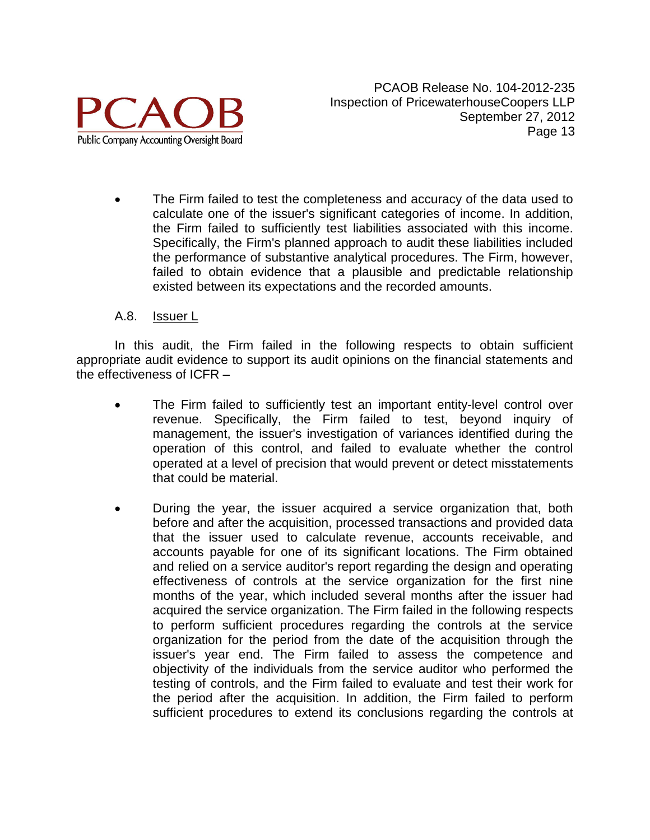

The Firm failed to test the completeness and accuracy of the data used to calculate one of the issuer's significant categories of income. In addition, the Firm failed to sufficiently test liabilities associated with this income. Specifically, the Firm's planned approach to audit these liabilities included the performance of substantive analytical procedures. The Firm, however, failed to obtain evidence that a plausible and predictable relationship existed between its expectations and the recorded amounts.

#### A.8. Issuer L

- The Firm failed to sufficiently test an important entity-level control over revenue. Specifically, the Firm failed to test, beyond inquiry of management, the issuer's investigation of variances identified during the operation of this control, and failed to evaluate whether the control operated at a level of precision that would prevent or detect misstatements that could be material.
- During the year, the issuer acquired a service organization that, both before and after the acquisition, processed transactions and provided data that the issuer used to calculate revenue, accounts receivable, and accounts payable for one of its significant locations. The Firm obtained and relied on a service auditor's report regarding the design and operating effectiveness of controls at the service organization for the first nine months of the year, which included several months after the issuer had acquired the service organization. The Firm failed in the following respects to perform sufficient procedures regarding the controls at the service organization for the period from the date of the acquisition through the issuer's year end. The Firm failed to assess the competence and objectivity of the individuals from the service auditor who performed the testing of controls, and the Firm failed to evaluate and test their work for the period after the acquisition. In addition, the Firm failed to perform sufficient procedures to extend its conclusions regarding the controls at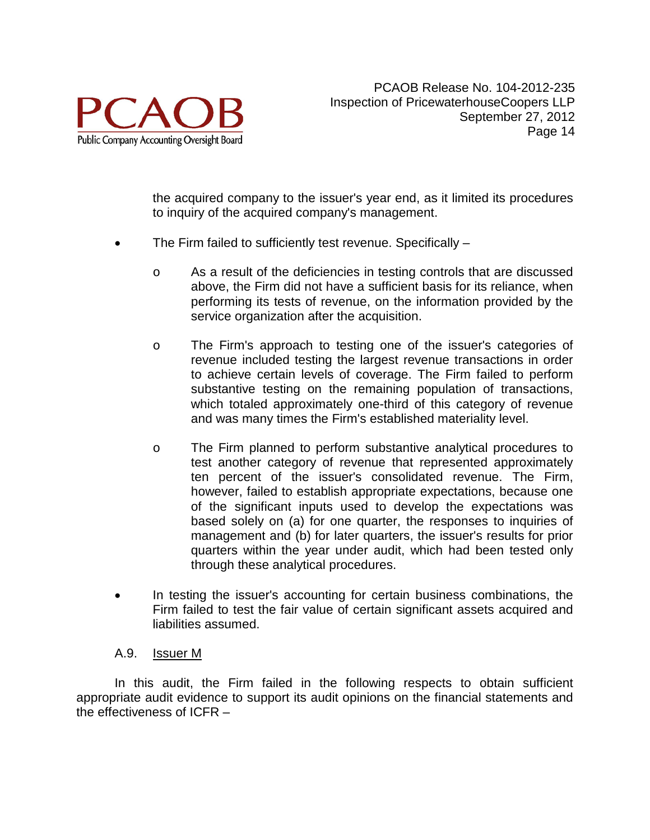

the acquired company to the issuer's year end, as it limited its procedures to inquiry of the acquired company's management.

- The Firm failed to sufficiently test revenue. Specifically
	- o As a result of the deficiencies in testing controls that are discussed above, the Firm did not have a sufficient basis for its reliance, when performing its tests of revenue, on the information provided by the service organization after the acquisition.
	- o The Firm's approach to testing one of the issuer's categories of revenue included testing the largest revenue transactions in order to achieve certain levels of coverage. The Firm failed to perform substantive testing on the remaining population of transactions, which totaled approximately one-third of this category of revenue and was many times the Firm's established materiality level.
	- o The Firm planned to perform substantive analytical procedures to test another category of revenue that represented approximately ten percent of the issuer's consolidated revenue. The Firm, however, failed to establish appropriate expectations, because one of the significant inputs used to develop the expectations was based solely on (a) for one quarter, the responses to inquiries of management and (b) for later quarters, the issuer's results for prior quarters within the year under audit, which had been tested only through these analytical procedures.
- In testing the issuer's accounting for certain business combinations, the Firm failed to test the fair value of certain significant assets acquired and liabilities assumed.

### A.9. Issuer M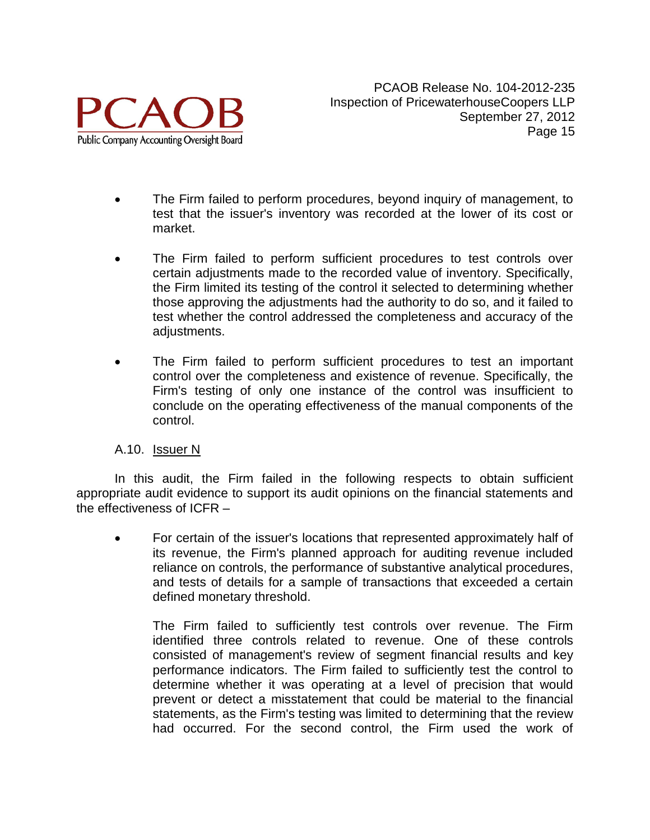

- The Firm failed to perform procedures, beyond inquiry of management, to test that the issuer's inventory was recorded at the lower of its cost or market.
- The Firm failed to perform sufficient procedures to test controls over certain adjustments made to the recorded value of inventory. Specifically, the Firm limited its testing of the control it selected to determining whether those approving the adjustments had the authority to do so, and it failed to test whether the control addressed the completeness and accuracy of the adjustments.
- The Firm failed to perform sufficient procedures to test an important control over the completeness and existence of revenue. Specifically, the Firm's testing of only one instance of the control was insufficient to conclude on the operating effectiveness of the manual components of the control.

### A.10. Issuer N

In this audit, the Firm failed in the following respects to obtain sufficient appropriate audit evidence to support its audit opinions on the financial statements and the effectiveness of ICFR –

• For certain of the issuer's locations that represented approximately half of its revenue, the Firm's planned approach for auditing revenue included reliance on controls, the performance of substantive analytical procedures, and tests of details for a sample of transactions that exceeded a certain defined monetary threshold.

The Firm failed to sufficiently test controls over revenue. The Firm identified three controls related to revenue. One of these controls consisted of management's review of segment financial results and key performance indicators. The Firm failed to sufficiently test the control to determine whether it was operating at a level of precision that would prevent or detect a misstatement that could be material to the financial statements, as the Firm's testing was limited to determining that the review had occurred. For the second control, the Firm used the work of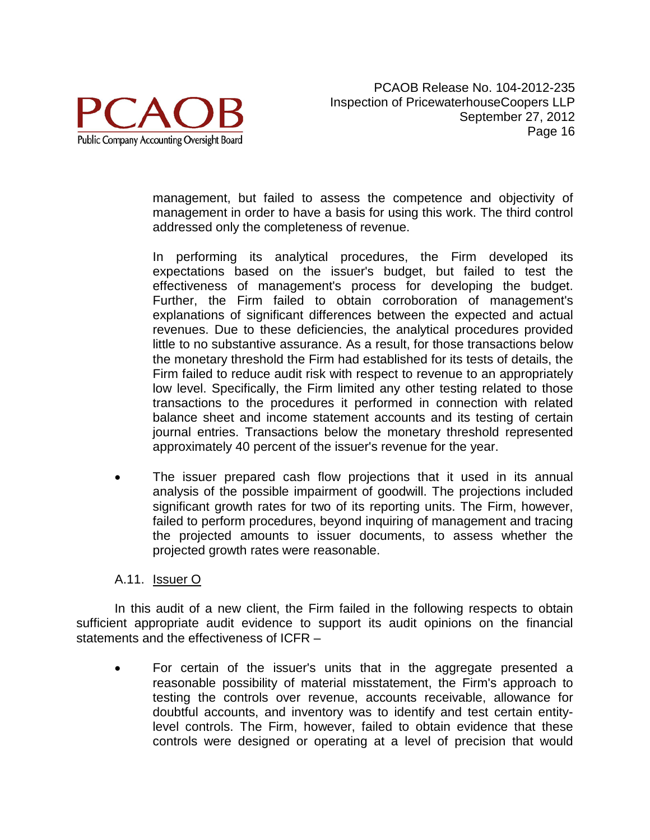

management, but failed to assess the competence and objectivity of management in order to have a basis for using this work. The third control addressed only the completeness of revenue.

In performing its analytical procedures, the Firm developed its expectations based on the issuer's budget, but failed to test the effectiveness of management's process for developing the budget. Further, the Firm failed to obtain corroboration of management's explanations of significant differences between the expected and actual revenues. Due to these deficiencies, the analytical procedures provided little to no substantive assurance. As a result, for those transactions below the monetary threshold the Firm had established for its tests of details, the Firm failed to reduce audit risk with respect to revenue to an appropriately low level. Specifically, the Firm limited any other testing related to those transactions to the procedures it performed in connection with related balance sheet and income statement accounts and its testing of certain journal entries. Transactions below the monetary threshold represented approximately 40 percent of the issuer's revenue for the year.

The issuer prepared cash flow projections that it used in its annual analysis of the possible impairment of goodwill. The projections included significant growth rates for two of its reporting units. The Firm, however, failed to perform procedures, beyond inquiring of management and tracing the projected amounts to issuer documents, to assess whether the projected growth rates were reasonable.

#### A.11. Issuer O

In this audit of a new client, the Firm failed in the following respects to obtain sufficient appropriate audit evidence to support its audit opinions on the financial statements and the effectiveness of ICFR –

• For certain of the issuer's units that in the aggregate presented a reasonable possibility of material misstatement, the Firm's approach to testing the controls over revenue, accounts receivable, allowance for doubtful accounts, and inventory was to identify and test certain entitylevel controls. The Firm, however, failed to obtain evidence that these controls were designed or operating at a level of precision that would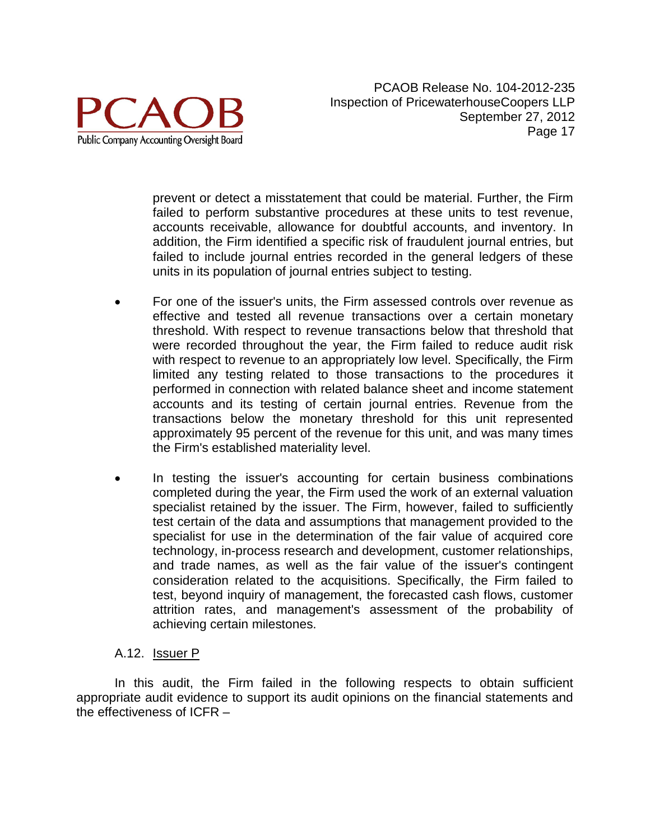

prevent or detect a misstatement that could be material. Further, the Firm failed to perform substantive procedures at these units to test revenue, accounts receivable, allowance for doubtful accounts, and inventory. In addition, the Firm identified a specific risk of fraudulent journal entries, but failed to include journal entries recorded in the general ledgers of these units in its population of journal entries subject to testing.

- For one of the issuer's units, the Firm assessed controls over revenue as effective and tested all revenue transactions over a certain monetary threshold. With respect to revenue transactions below that threshold that were recorded throughout the year, the Firm failed to reduce audit risk with respect to revenue to an appropriately low level. Specifically, the Firm limited any testing related to those transactions to the procedures it performed in connection with related balance sheet and income statement accounts and its testing of certain journal entries. Revenue from the transactions below the monetary threshold for this unit represented approximately 95 percent of the revenue for this unit, and was many times the Firm's established materiality level.
- In testing the issuer's accounting for certain business combinations completed during the year, the Firm used the work of an external valuation specialist retained by the issuer. The Firm, however, failed to sufficiently test certain of the data and assumptions that management provided to the specialist for use in the determination of the fair value of acquired core technology, in-process research and development, customer relationships, and trade names, as well as the fair value of the issuer's contingent consideration related to the acquisitions. Specifically, the Firm failed to test, beyond inquiry of management, the forecasted cash flows, customer attrition rates, and management's assessment of the probability of achieving certain milestones.

### A.12. Issuer P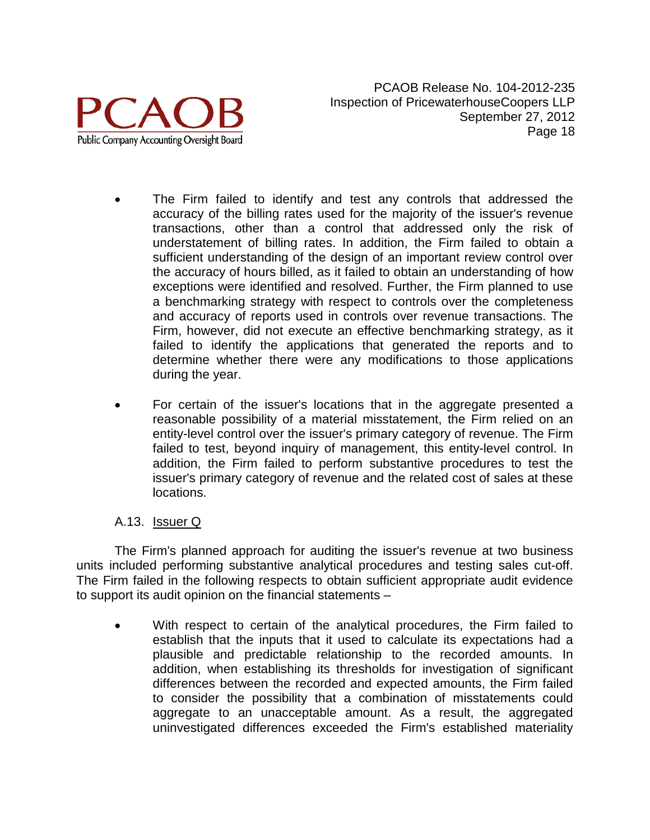

- The Firm failed to identify and test any controls that addressed the accuracy of the billing rates used for the majority of the issuer's revenue transactions, other than a control that addressed only the risk of understatement of billing rates. In addition, the Firm failed to obtain a sufficient understanding of the design of an important review control over the accuracy of hours billed, as it failed to obtain an understanding of how exceptions were identified and resolved. Further, the Firm planned to use a benchmarking strategy with respect to controls over the completeness and accuracy of reports used in controls over revenue transactions. The Firm, however, did not execute an effective benchmarking strategy, as it failed to identify the applications that generated the reports and to determine whether there were any modifications to those applications during the year.
- For certain of the issuer's locations that in the aggregate presented a reasonable possibility of a material misstatement, the Firm relied on an entity-level control over the issuer's primary category of revenue. The Firm failed to test, beyond inquiry of management, this entity-level control. In addition, the Firm failed to perform substantive procedures to test the issuer's primary category of revenue and the related cost of sales at these locations.

### A.13. Issuer Q

The Firm's planned approach for auditing the issuer's revenue at two business units included performing substantive analytical procedures and testing sales cut-off. The Firm failed in the following respects to obtain sufficient appropriate audit evidence to support its audit opinion on the financial statements –

With respect to certain of the analytical procedures, the Firm failed to establish that the inputs that it used to calculate its expectations had a plausible and predictable relationship to the recorded amounts. In addition, when establishing its thresholds for investigation of significant differences between the recorded and expected amounts, the Firm failed to consider the possibility that a combination of misstatements could aggregate to an unacceptable amount. As a result, the aggregated uninvestigated differences exceeded the Firm's established materiality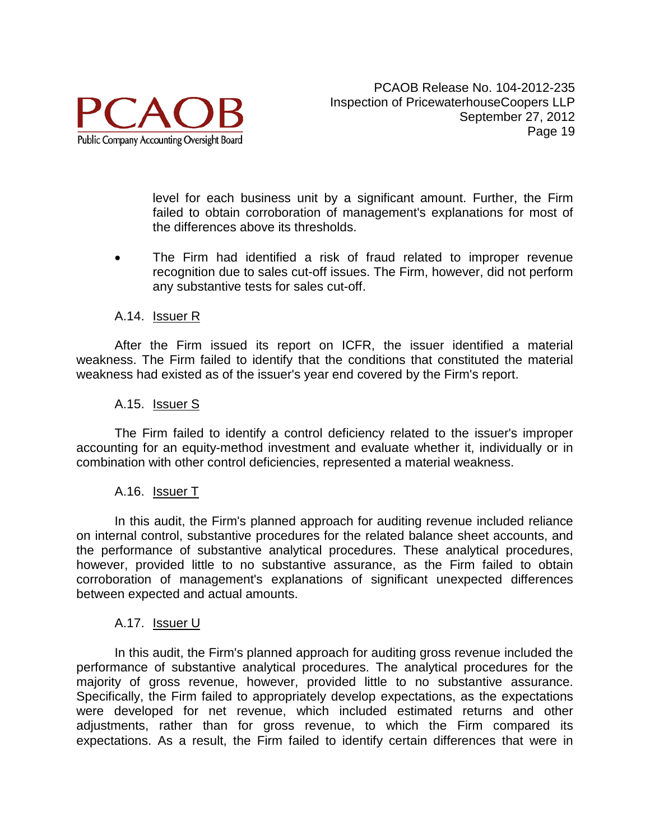

level for each business unit by a significant amount. Further, the Firm failed to obtain corroboration of management's explanations for most of the differences above its thresholds.

• The Firm had identified a risk of fraud related to improper revenue recognition due to sales cut-off issues. The Firm, however, did not perform any substantive tests for sales cut-off.

#### A.14. Issuer R

After the Firm issued its report on ICFR, the issuer identified a material weakness. The Firm failed to identify that the conditions that constituted the material weakness had existed as of the issuer's year end covered by the Firm's report.

#### A.15. Issuer S

The Firm failed to identify a control deficiency related to the issuer's improper accounting for an equity-method investment and evaluate whether it, individually or in combination with other control deficiencies, represented a material weakness.

### A.16. **Issuer T**

In this audit, the Firm's planned approach for auditing revenue included reliance on internal control, substantive procedures for the related balance sheet accounts, and the performance of substantive analytical procedures. These analytical procedures, however, provided little to no substantive assurance, as the Firm failed to obtain corroboration of management's explanations of significant unexpected differences between expected and actual amounts.

#### A.17. Issuer U

In this audit, the Firm's planned approach for auditing gross revenue included the performance of substantive analytical procedures. The analytical procedures for the majority of gross revenue, however, provided little to no substantive assurance. Specifically, the Firm failed to appropriately develop expectations, as the expectations were developed for net revenue, which included estimated returns and other adjustments, rather than for gross revenue, to which the Firm compared its expectations. As a result, the Firm failed to identify certain differences that were in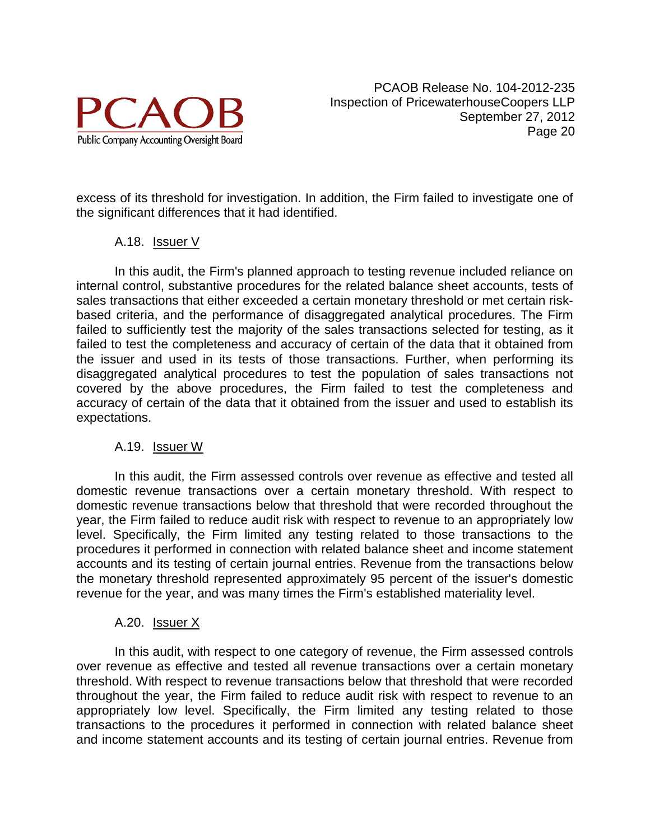

excess of its threshold for investigation. In addition, the Firm failed to investigate one of the significant differences that it had identified.

### A.18. Issuer V

In this audit, the Firm's planned approach to testing revenue included reliance on internal control, substantive procedures for the related balance sheet accounts, tests of sales transactions that either exceeded a certain monetary threshold or met certain riskbased criteria, and the performance of disaggregated analytical procedures. The Firm failed to sufficiently test the majority of the sales transactions selected for testing, as it failed to test the completeness and accuracy of certain of the data that it obtained from the issuer and used in its tests of those transactions. Further, when performing its disaggregated analytical procedures to test the population of sales transactions not covered by the above procedures, the Firm failed to test the completeness and accuracy of certain of the data that it obtained from the issuer and used to establish its expectations.

### A.19. Issuer W

In this audit, the Firm assessed controls over revenue as effective and tested all domestic revenue transactions over a certain monetary threshold. With respect to domestic revenue transactions below that threshold that were recorded throughout the year, the Firm failed to reduce audit risk with respect to revenue to an appropriately low level. Specifically, the Firm limited any testing related to those transactions to the procedures it performed in connection with related balance sheet and income statement accounts and its testing of certain journal entries. Revenue from the transactions below the monetary threshold represented approximately 95 percent of the issuer's domestic revenue for the year, and was many times the Firm's established materiality level.

### A.20. Issuer X

In this audit, with respect to one category of revenue, the Firm assessed controls over revenue as effective and tested all revenue transactions over a certain monetary threshold. With respect to revenue transactions below that threshold that were recorded throughout the year, the Firm failed to reduce audit risk with respect to revenue to an appropriately low level. Specifically, the Firm limited any testing related to those transactions to the procedures it performed in connection with related balance sheet and income statement accounts and its testing of certain journal entries. Revenue from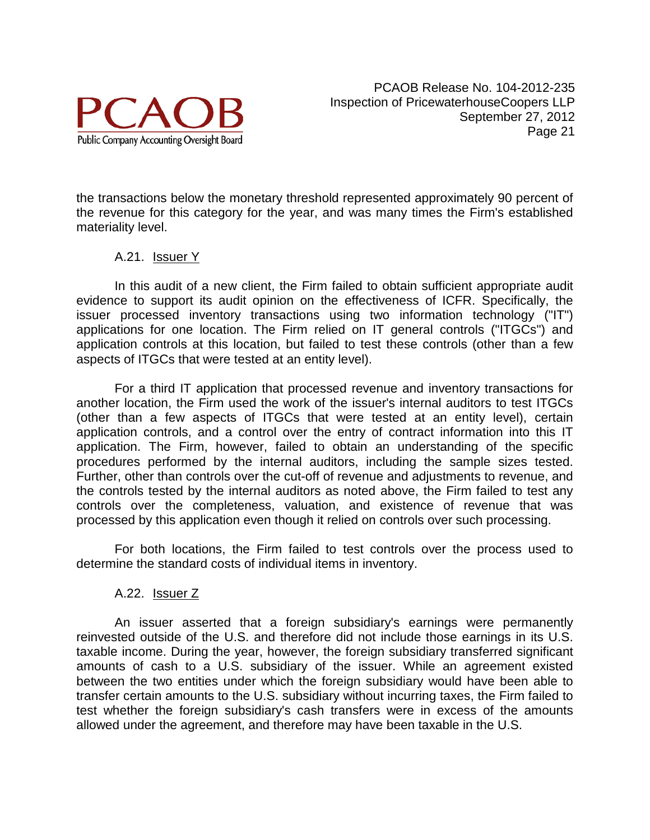

the transactions below the monetary threshold represented approximately 90 percent of the revenue for this category for the year, and was many times the Firm's established materiality level.

#### A.21. Issuer Y

In this audit of a new client, the Firm failed to obtain sufficient appropriate audit evidence to support its audit opinion on the effectiveness of ICFR. Specifically, the issuer processed inventory transactions using two information technology ("IT") applications for one location. The Firm relied on IT general controls ("ITGCs") and application controls at this location, but failed to test these controls (other than a few aspects of ITGCs that were tested at an entity level).

For a third IT application that processed revenue and inventory transactions for another location, the Firm used the work of the issuer's internal auditors to test ITGCs (other than a few aspects of ITGCs that were tested at an entity level), certain application controls, and a control over the entry of contract information into this IT application. The Firm, however, failed to obtain an understanding of the specific procedures performed by the internal auditors, including the sample sizes tested. Further, other than controls over the cut-off of revenue and adjustments to revenue, and the controls tested by the internal auditors as noted above, the Firm failed to test any controls over the completeness, valuation, and existence of revenue that was processed by this application even though it relied on controls over such processing.

For both locations, the Firm failed to test controls over the process used to determine the standard costs of individual items in inventory.

#### A.22. Issuer Z

An issuer asserted that a foreign subsidiary's earnings were permanently reinvested outside of the U.S. and therefore did not include those earnings in its U.S. taxable income. During the year, however, the foreign subsidiary transferred significant amounts of cash to a U.S. subsidiary of the issuer. While an agreement existed between the two entities under which the foreign subsidiary would have been able to transfer certain amounts to the U.S. subsidiary without incurring taxes, the Firm failed to test whether the foreign subsidiary's cash transfers were in excess of the amounts allowed under the agreement, and therefore may have been taxable in the U.S.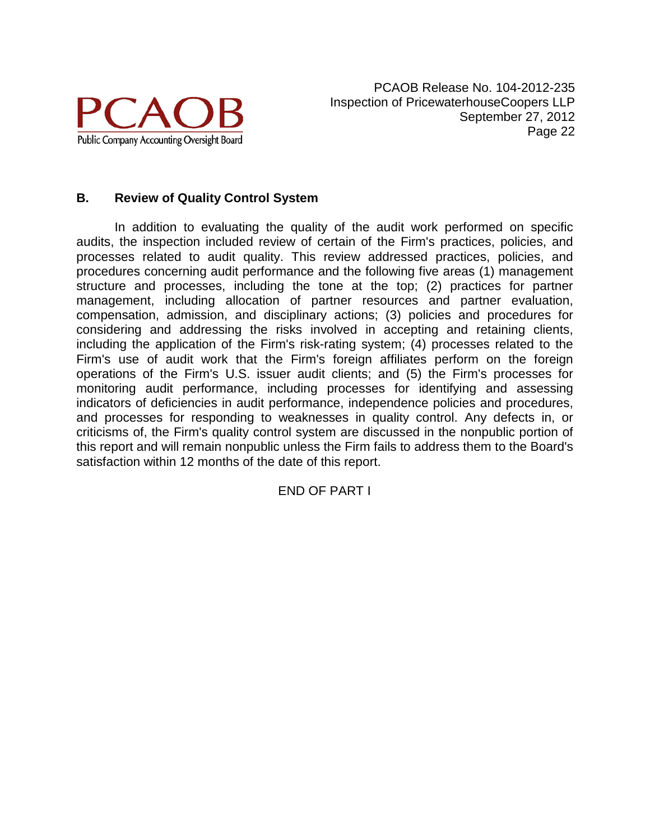

### **B. Review of Quality Control System**

In addition to evaluating the quality of the audit work performed on specific audits, the inspection included review of certain of the Firm's practices, policies, and processes related to audit quality. This review addressed practices, policies, and procedures concerning audit performance and the following five areas (1) management structure and processes, including the tone at the top; (2) practices for partner management, including allocation of partner resources and partner evaluation, compensation, admission, and disciplinary actions; (3) policies and procedures for considering and addressing the risks involved in accepting and retaining clients, including the application of the Firm's risk-rating system; (4) processes related to the Firm's use of audit work that the Firm's foreign affiliates perform on the foreign operations of the Firm's U.S. issuer audit clients; and (5) the Firm's processes for monitoring audit performance, including processes for identifying and assessing indicators of deficiencies in audit performance, independence policies and procedures, and processes for responding to weaknesses in quality control. Any defects in, or criticisms of, the Firm's quality control system are discussed in the nonpublic portion of this report and will remain nonpublic unless the Firm fails to address them to the Board's satisfaction within 12 months of the date of this report.

END OF PART I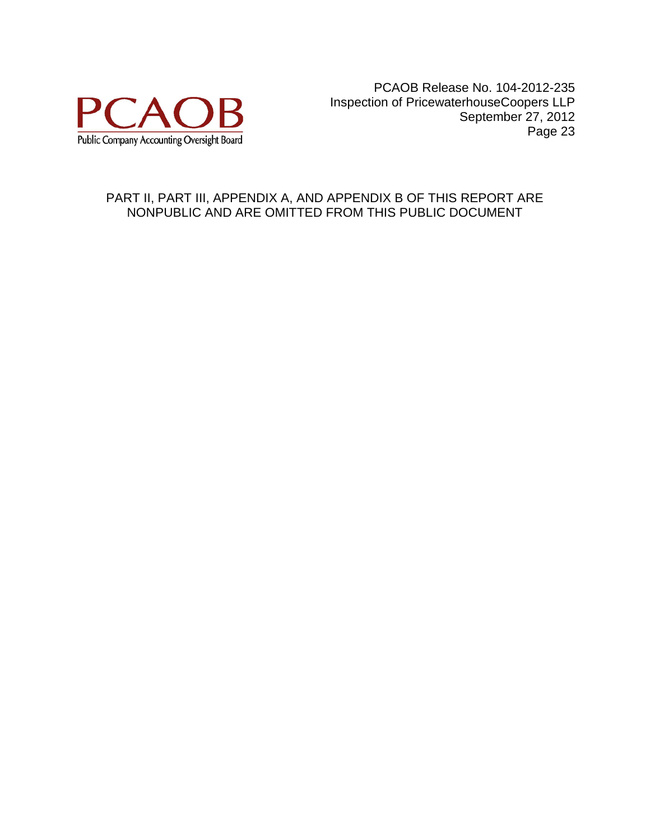

### PART II, PART III, APPENDIX A, AND APPENDIX B OF THIS REPORT ARE NONPUBLIC AND ARE OMITTED FROM THIS PUBLIC DOCUMENT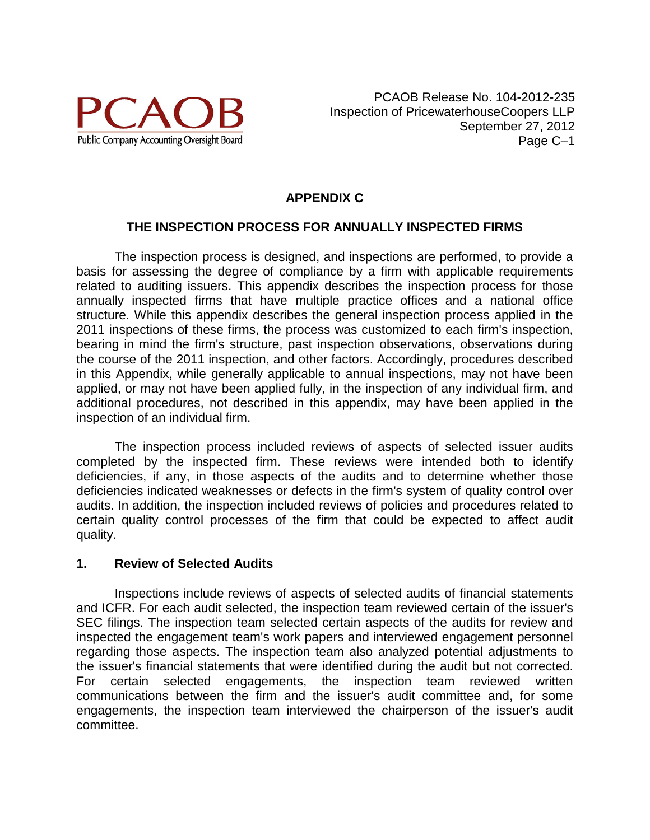

## **APPENDIX C**

### **THE INSPECTION PROCESS FOR ANNUALLY INSPECTED FIRMS**

The inspection process is designed, and inspections are performed, to provide a basis for assessing the degree of compliance by a firm with applicable requirements related to auditing issuers. This appendix describes the inspection process for those annually inspected firms that have multiple practice offices and a national office structure. While this appendix describes the general inspection process applied in the 2011 inspections of these firms, the process was customized to each firm's inspection, bearing in mind the firm's structure, past inspection observations, observations during the course of the 2011 inspection, and other factors. Accordingly, procedures described in this Appendix, while generally applicable to annual inspections, may not have been applied, or may not have been applied fully, in the inspection of any individual firm, and additional procedures, not described in this appendix, may have been applied in the inspection of an individual firm.

The inspection process included reviews of aspects of selected issuer audits completed by the inspected firm. These reviews were intended both to identify deficiencies, if any, in those aspects of the audits and to determine whether those deficiencies indicated weaknesses or defects in the firm's system of quality control over audits. In addition, the inspection included reviews of policies and procedures related to certain quality control processes of the firm that could be expected to affect audit quality.

#### **1. Review of Selected Audits**

Inspections include reviews of aspects of selected audits of financial statements and ICFR. For each audit selected, the inspection team reviewed certain of the issuer's SEC filings. The inspection team selected certain aspects of the audits for review and inspected the engagement team's work papers and interviewed engagement personnel regarding those aspects. The inspection team also analyzed potential adjustments to the issuer's financial statements that were identified during the audit but not corrected. For certain selected engagements, the inspection team reviewed written communications between the firm and the issuer's audit committee and, for some engagements, the inspection team interviewed the chairperson of the issuer's audit committee.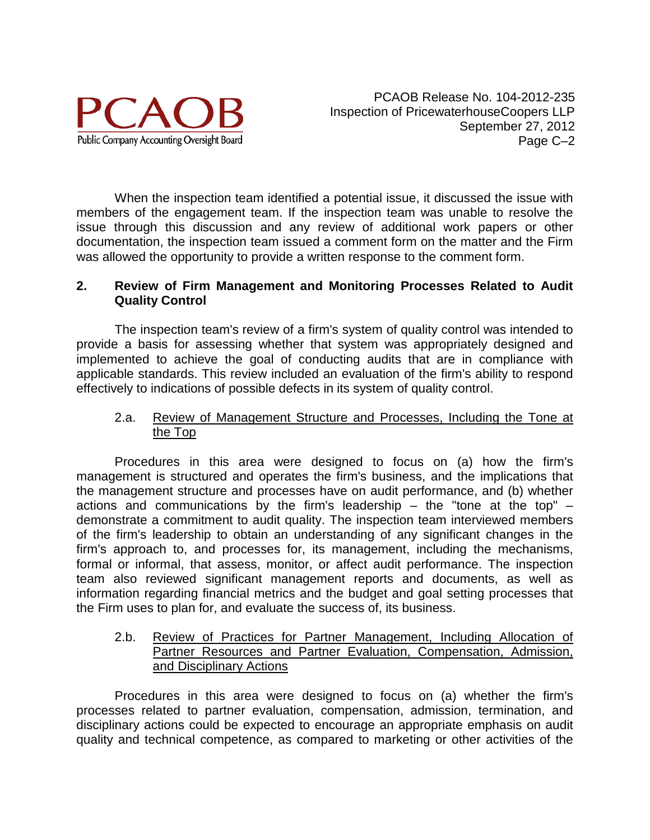

When the inspection team identified a potential issue, it discussed the issue with members of the engagement team. If the inspection team was unable to resolve the issue through this discussion and any review of additional work papers or other documentation, the inspection team issued a comment form on the matter and the Firm was allowed the opportunity to provide a written response to the comment form.

#### **2. Review of Firm Management and Monitoring Processes Related to Audit Quality Control**

The inspection team's review of a firm's system of quality control was intended to provide a basis for assessing whether that system was appropriately designed and implemented to achieve the goal of conducting audits that are in compliance with applicable standards. This review included an evaluation of the firm's ability to respond effectively to indications of possible defects in its system of quality control.

### 2.a. Review of Management Structure and Processes, Including the Tone at the Top

Procedures in this area were designed to focus on (a) how the firm's management is structured and operates the firm's business, and the implications that the management structure and processes have on audit performance, and (b) whether actions and communications by the firm's leadership – the "tone at the top" – demonstrate a commitment to audit quality. The inspection team interviewed members of the firm's leadership to obtain an understanding of any significant changes in the firm's approach to, and processes for, its management, including the mechanisms, formal or informal, that assess, monitor, or affect audit performance. The inspection team also reviewed significant management reports and documents, as well as information regarding financial metrics and the budget and goal setting processes that the Firm uses to plan for, and evaluate the success of, its business.

#### 2.b. Review of Practices for Partner Management, Including Allocation of Partner Resources and Partner Evaluation, Compensation, Admission, and Disciplinary Actions

Procedures in this area were designed to focus on (a) whether the firm's processes related to partner evaluation, compensation, admission, termination, and disciplinary actions could be expected to encourage an appropriate emphasis on audit quality and technical competence, as compared to marketing or other activities of the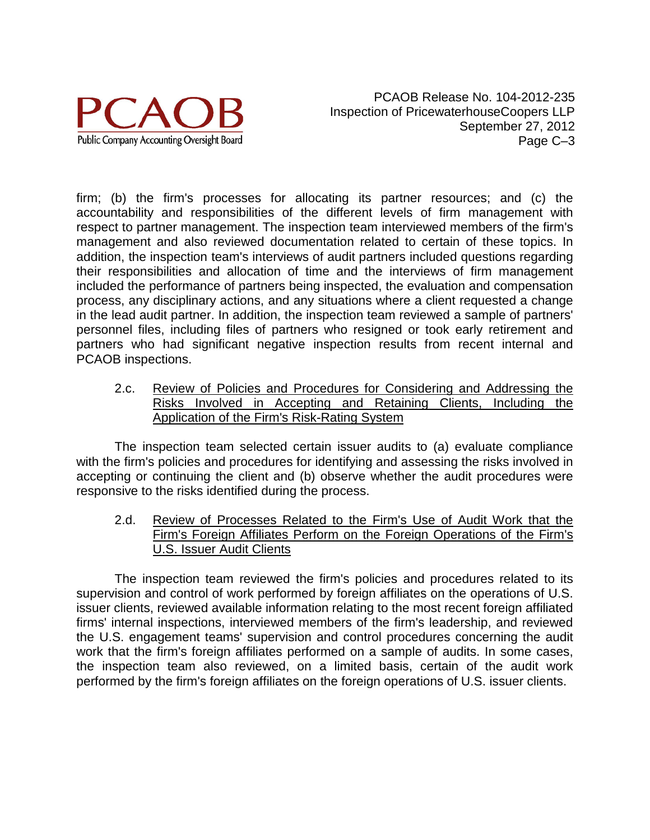

firm; (b) the firm's processes for allocating its partner resources; and (c) the accountability and responsibilities of the different levels of firm management with respect to partner management. The inspection team interviewed members of the firm's management and also reviewed documentation related to certain of these topics. In addition, the inspection team's interviews of audit partners included questions regarding their responsibilities and allocation of time and the interviews of firm management included the performance of partners being inspected, the evaluation and compensation process, any disciplinary actions, and any situations where a client requested a change in the lead audit partner. In addition, the inspection team reviewed a sample of partners' personnel files, including files of partners who resigned or took early retirement and partners who had significant negative inspection results from recent internal and PCAOB inspections.

2.c. Review of Policies and Procedures for Considering and Addressing the Risks Involved in Accepting and Retaining Clients, Including the Application of the Firm's Risk-Rating System

The inspection team selected certain issuer audits to (a) evaluate compliance with the firm's policies and procedures for identifying and assessing the risks involved in accepting or continuing the client and (b) observe whether the audit procedures were responsive to the risks identified during the process.

2.d. Review of Processes Related to the Firm's Use of Audit Work that the Firm's Foreign Affiliates Perform on the Foreign Operations of the Firm's U.S. Issuer Audit Clients

The inspection team reviewed the firm's policies and procedures related to its supervision and control of work performed by foreign affiliates on the operations of U.S. issuer clients, reviewed available information relating to the most recent foreign affiliated firms' internal inspections, interviewed members of the firm's leadership, and reviewed the U.S. engagement teams' supervision and control procedures concerning the audit work that the firm's foreign affiliates performed on a sample of audits. In some cases, the inspection team also reviewed, on a limited basis, certain of the audit work performed by the firm's foreign affiliates on the foreign operations of U.S. issuer clients.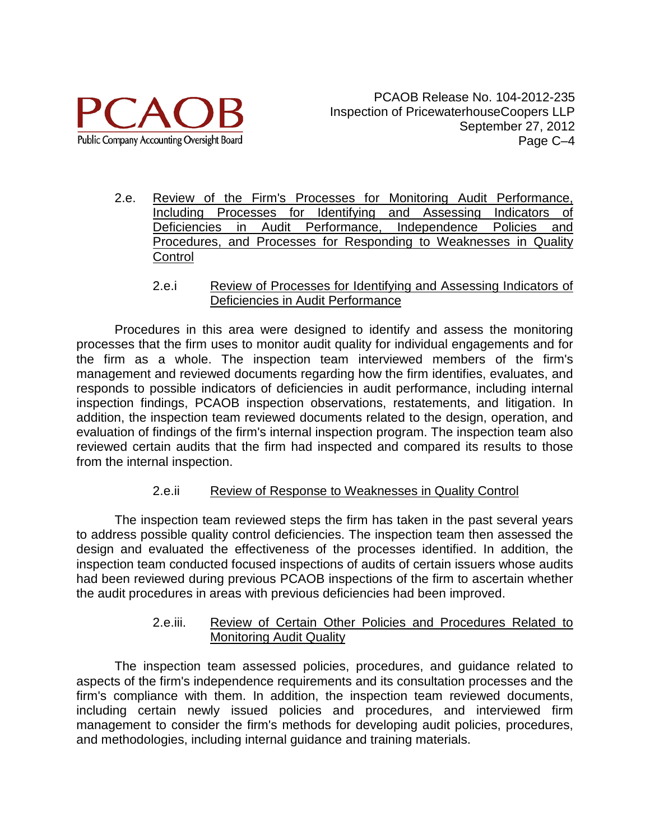

- 2.e. Review of the Firm's Processes for Monitoring Audit Performance, Including Processes for Identifying and Assessing Indicators of Deficiencies in Audit Performance, Independence Policies and Procedures, and Processes for Responding to Weaknesses in Quality **Control** 
	- 2.e.i Review of Processes for Identifying and Assessing Indicators of Deficiencies in Audit Performance

Procedures in this area were designed to identify and assess the monitoring processes that the firm uses to monitor audit quality for individual engagements and for the firm as a whole. The inspection team interviewed members of the firm's management and reviewed documents regarding how the firm identifies, evaluates, and responds to possible indicators of deficiencies in audit performance, including internal inspection findings, PCAOB inspection observations, restatements, and litigation. In addition, the inspection team reviewed documents related to the design, operation, and evaluation of findings of the firm's internal inspection program. The inspection team also reviewed certain audits that the firm had inspected and compared its results to those from the internal inspection.

### 2.e.ii Review of Response to Weaknesses in Quality Control

The inspection team reviewed steps the firm has taken in the past several years to address possible quality control deficiencies. The inspection team then assessed the design and evaluated the effectiveness of the processes identified. In addition, the inspection team conducted focused inspections of audits of certain issuers whose audits had been reviewed during previous PCAOB inspections of the firm to ascertain whether the audit procedures in areas with previous deficiencies had been improved.

### 2.e.iii. Review of Certain Other Policies and Procedures Related to Monitoring Audit Quality

The inspection team assessed policies, procedures, and guidance related to aspects of the firm's independence requirements and its consultation processes and the firm's compliance with them. In addition, the inspection team reviewed documents, including certain newly issued policies and procedures, and interviewed firm management to consider the firm's methods for developing audit policies, procedures, and methodologies, including internal guidance and training materials.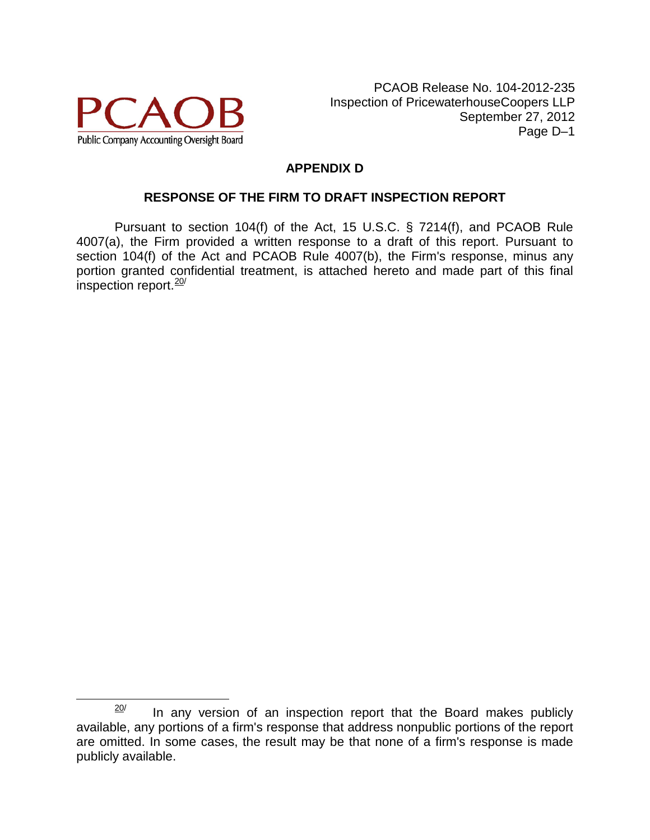

## **APPENDIX D**

### **RESPONSE OF THE FIRM TO DRAFT INSPECTION REPORT**

Pursuant to section 104(f) of the Act, 15 U.S.C. § 7214(f), and PCAOB Rule 4007(a), the Firm provided a written response to a draft of this report. Pursuant to section 104(f) of the Act and PCAOB Rule 4007(b), the Firm's response, minus any portion granted confidential treatment, is attached hereto and made part of this final inspection report. $\frac{20}{ }$  $\frac{20}{ }$  $\frac{20}{ }$ 

<span id="page-29-0"></span> $20$  In any version of an inspection report that the Board makes publicly available, any portions of a firm's response that address nonpublic portions of the report are omitted. In some cases, the result may be that none of a firm's response is made publicly available.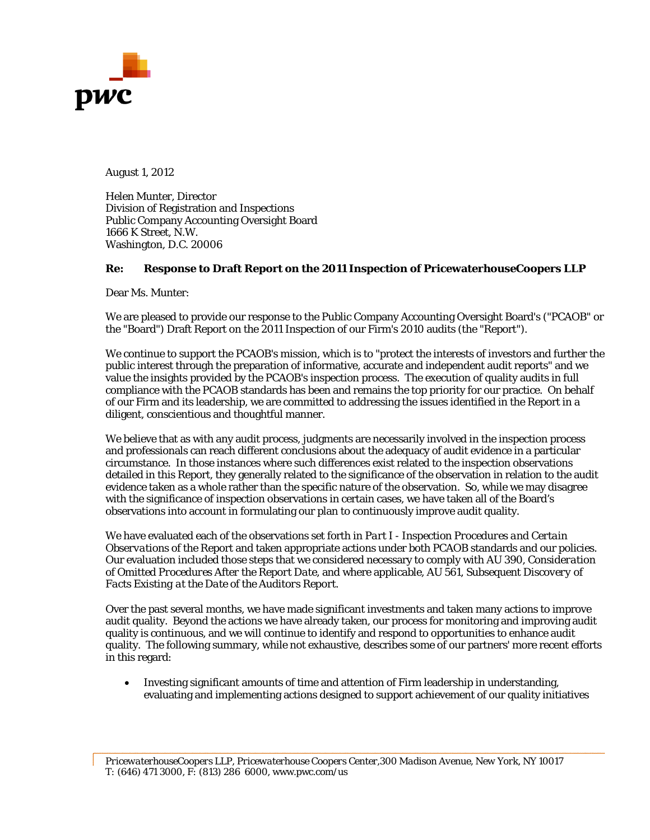

August 1, 2012

Helen Munter, Director Division of Registration and Inspections Public Company Accounting Oversight Board 1666 K Street, N.W. Washington, D.C. 20006

#### **Re: Response to Draft Report on the 2011 Inspection of PricewaterhouseCoopers LLP**

Dear Ms. Munter:

We are pleased to provide our response to the Public Company Accounting Oversight Board's ("PCAOB" or the "Board") Draft Report on the 2011 Inspection of our Firm's 2010 audits (the "Report").

We continue to support the PCAOB's mission, which is to "protect the interests of investors and further the public interest through the preparation of informative, accurate and independent audit reports" and we value the insights provided by the PCAOB's inspection process. The execution of quality audits in full compliance with the PCAOB standards has been and remains the top priority for our practice. On behalf of our Firm and its leadership, we are committed to addressing the issues identified in the Report in a diligent, conscientious and thoughtful manner.

We believe that as with any audit process, judgments are necessarily involved in the inspection process and professionals can reach different conclusions about the adequacy of audit evidence in a particular circumstance. In those instances where such differences exist related to the inspection observations detailed in this Report, they generally related to the significance of the observation in relation to the audit evidence taken as a whole rather than the specific nature of the observation. So, while we may disagree with the significance of inspection observations in certain cases, we have taken all of the Board's observations into account in formulating our plan to continuously improve audit quality.

We have evaluated each of the observations set forth in *Part I - Inspection Procedures and Certain Observations* of the Report and taken appropriate actions under both PCAOB standards and our policies. Our evaluation included those steps that we considered necessary to comply with AU 390, *Consideration of Omitted Procedures After the Report Date,* and where applicable, AU 561, *Subsequent Discovery of Facts Existing at the Date of the Auditors Report*.

Over the past several months, we have made significant investments and taken many actions to improve audit quality. Beyond the actions we have already taken, our process for monitoring and improving audit quality is continuous, and we will continue to identify and respond to opportunities to enhance audit quality. The following summary, while not exhaustive, describes some of our partners' more recent efforts in this regard:

• Investing significant amounts of time and attention of Firm leadership in understanding, evaluating and implementing actions designed to support achievement of our quality initiatives